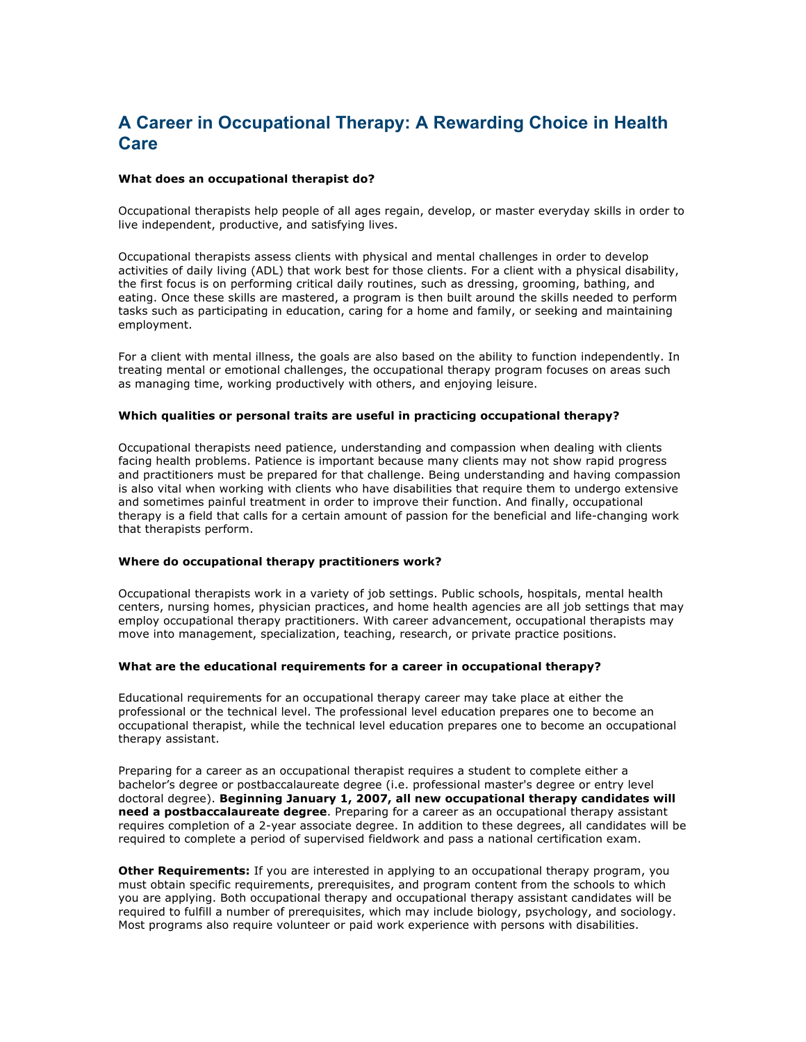# **A Career in Occupational Therapy: A Rewarding Choice in Health Care**

#### **What does an occupational therapist do?**

Occupational therapists help people of all ages regain, develop, or master everyday skills in order to live independent, productive, and satisfying lives.

Occupational therapists assess clients with physical and mental challenges in order to develop activities of daily living (ADL) that work best for those clients. For a client with a physical disability, the first focus is on performing critical daily routines, such as dressing, grooming, bathing, and eating. Once these skills are mastered, a program is then built around the skills needed to perform tasks such as participating in education, caring for a home and family, or seeking and maintaining employment.

For a client with mental illness, the goals are also based on the ability to function independently. In treating mental or emotional challenges, the occupational therapy program focuses on areas such as managing time, working productively with others, and enjoying leisure.

#### **Which qualities or personal traits are useful in practicing occupational therapy?**

Occupational therapists need patience, understanding and compassion when dealing with clients facing health problems. Patience is important because many clients may not show rapid progress and practitioners must be prepared for that challenge. Being understanding and having compassion is also vital when working with clients who have disabilities that require them to undergo extensive and sometimes painful treatment in order to improve their function. And finally, occupational therapy is a field that calls for a certain amount of passion for the beneficial and life-changing work that therapists perform.

#### **Where do occupational therapy practitioners work?**

Occupational therapists work in a variety of job settings. Public schools, hospitals, mental health centers, nursing homes, physician practices, and home health agencies are all job settings that may employ occupational therapy practitioners. With career advancement, occupational therapists may move into management, specialization, teaching, research, or private practice positions.

#### **What are the educational requirements for a career in occupational therapy?**

Educational requirements for an occupational therapy career may take place at either the professional or the technical level. The professional level education prepares one to become an occupational therapist, while the technical level education prepares one to become an occupational therapy assistant.

Preparing for a career as an occupational therapist requires a student to complete either a bachelor's degree or postbaccalaureate degree (i.e. professional master's degree or entry level doctoral degree). **Beginning January 1, 2007, all new occupational therapy candidates will need a postbaccalaureate degree**. Preparing for a career as an occupational therapy assistant requires completion of a 2-year associate degree. In addition to these degrees, all candidates will be required to complete a period of supervised fieldwork and pass a national certification exam.

**Other Requirements:** If you are interested in applying to an occupational therapy program, you must obtain specific requirements, prerequisites, and program content from the schools to which you are applying. Both occupational therapy and occupational therapy assistant candidates will be required to fulfill a number of prerequisites, which may include biology, psychology, and sociology. Most programs also require volunteer or paid work experience with persons with disabilities.